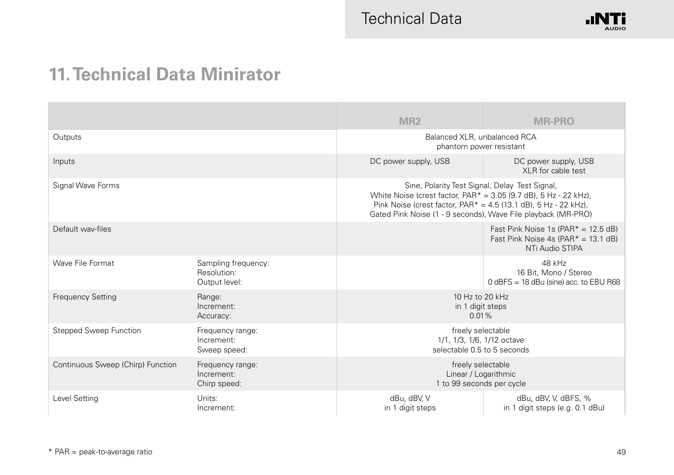

## **11. Technical Data Minirator**

|                                   |                                                     | MR <sub>2</sub>                                                                                                                                                                                                                                                          | <b>MR-PRO</b>                                                                                       |
|-----------------------------------|-----------------------------------------------------|--------------------------------------------------------------------------------------------------------------------------------------------------------------------------------------------------------------------------------------------------------------------------|-----------------------------------------------------------------------------------------------------|
| Outputs                           |                                                     | Balanced XLR, unbalanced RCA<br>phantom power resistant                                                                                                                                                                                                                  |                                                                                                     |
| Inputs                            |                                                     | DC power supply, USB                                                                                                                                                                                                                                                     | DC power supply, USB<br>XLR for cable test                                                          |
| Signal Wave Forms                 |                                                     | Sine, Polarity Test Signal, Delay Test Signal,<br>White Noise (crest factor, $PAR^* = 3.05$ (9.7 dB), $5 Hz - 22 kHz$ ),<br>Pink Noise (crest factor, PAR <sup>*</sup> = 4.5 (13.1 dB), 5 Hz - 22 kHz),<br>Gated Pink Noise (1 - 9 seconds), Wave File playback (MR-PRO) |                                                                                                     |
| Default way-files                 |                                                     |                                                                                                                                                                                                                                                                          | Fast Pink Noise 1s $(PAR^* = 12.5 dB)$<br>Fast Pink Noise 4s (PAR $* = 13.1$ dB)<br>NTi Audio STIPA |
| Wave File Format                  | Sampling frequency:<br>Resolution:<br>Output level: |                                                                                                                                                                                                                                                                          | 48 kHz<br>16 Bit. Mono / Stereo<br>$0$ dBFS = 18 dBu (sine) acc. to EBU R68                         |
| <b>Frequency Setting</b>          | Range:<br>Increment:<br>Accuracy:                   | 10 Hz to 20 kHz<br>in 1 digit steps<br>$0.01\%$                                                                                                                                                                                                                          |                                                                                                     |
| <b>Stepped Sweep Function</b>     | Frequency range:<br>Increment:<br>Sweep speed:      | freely selectable<br>1/1, 1/3, 1/6, 1/12 octave<br>selectable 0.5 to 5 seconds                                                                                                                                                                                           |                                                                                                     |
| Continuous Sweep (Chirp) Function | Frequency range:<br>Increment:<br>Chirp speed:      | freely selectable<br>Linear / Logarithmic<br>1 to 99 seconds per cycle                                                                                                                                                                                                   |                                                                                                     |
| Level Setting                     | Units:<br>Increment:                                | dBu, dBV, V<br>in 1 digit steps                                                                                                                                                                                                                                          | dBu, dBV, V, dBFS, %<br>in 1 digit steps (e.g. 0.1 dBu)                                             |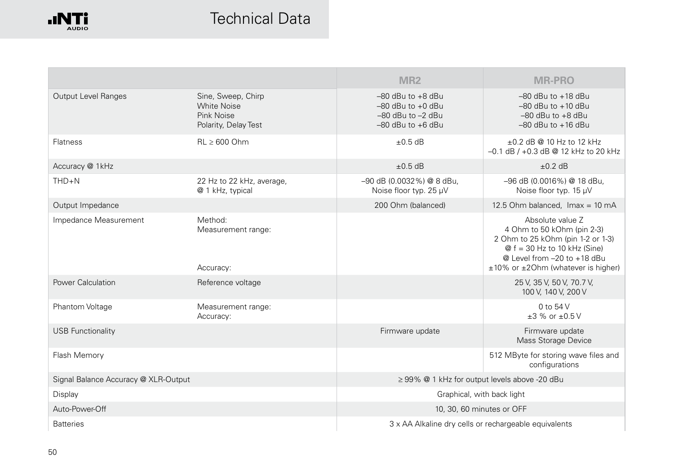

## Technical Data

|                                      |                                                                                | MR <sub>2</sub>                                                                                  | <b>MR-PRO</b>                                                                                                                                                                                   |  |
|--------------------------------------|--------------------------------------------------------------------------------|--------------------------------------------------------------------------------------------------|-------------------------------------------------------------------------------------------------------------------------------------------------------------------------------------------------|--|
| <b>Output Level Ranges</b>           | Sine, Sweep, Chirp<br><b>White Noise</b><br>Pink Noise<br>Polarity, Delay Test | $-80$ dBu to $+8$ dBu<br>$-80$ dBu to $+0$ dBu<br>$-80$ dBu to $-2$ dBu<br>$-80$ dBu to $+6$ dBu | $-80$ dBu to $+18$ dBu<br>$-80$ dBu to $+10$ dBu<br>$-80$ dBu to $+8$ dBu<br>$-80$ dBu to $+16$ dBu                                                                                             |  |
| <b>Flatness</b>                      | $RL > 600$ Ohm                                                                 | $\pm 0.5$ dB                                                                                     | $+0.2$ dB @ 10 Hz to 12 kHz<br>-0.1 dB / +0.3 dB @ 12 kHz to 20 kHz                                                                                                                             |  |
| Accuracy @ 1kHz                      |                                                                                | $+0.5$ dB                                                                                        | $+0.2$ dB                                                                                                                                                                                       |  |
| $THD + N$                            | 22 Hz to 22 kHz, average,<br>@ 1 kHz, typical                                  | -90 dB (0.0032%) @ 8 dBu,<br>Noise floor typ. 25 µV                                              | -96 dB (0.0016%) @ 18 dBu,<br>Noise floor typ. 15 µV                                                                                                                                            |  |
| Output Impedance                     |                                                                                | 200 Ohm (balanced)                                                                               | 12.5 Ohm balanced, Imax = 10 mA                                                                                                                                                                 |  |
| Impedance Measurement                | Method:<br>Measurement range:<br>Accuracy:                                     |                                                                                                  | Absolute value Z<br>4 Ohm to 50 kOhm (pin 2-3)<br>2 Ohm to 25 kOhm (pin 1-2 or 1-3)<br>$@f = 30$ Hz to 10 kHz (Sine)<br>$@$ Level from $-20$ to $+18$ dBu<br>±10% or ±20hm (whatever is higher) |  |
| Power Calculation                    | Reference voltage                                                              |                                                                                                  | 25 V, 35 V, 50 V, 70.7 V,<br>100 V, 140 V, 200 V                                                                                                                                                |  |
| Phantom Voltage                      | Measurement range:<br>Accuracy:                                                |                                                                                                  | $0$ to $54$ V<br>$+3$ % or $+0.5$ V                                                                                                                                                             |  |
| <b>USB Functionality</b>             |                                                                                | Firmware update                                                                                  | Firmware update<br>Mass Storage Device                                                                                                                                                          |  |
| Flash Memory                         |                                                                                |                                                                                                  | 512 MByte for storing wave files and<br>configurations                                                                                                                                          |  |
| Signal Balance Accuracy @ XLR-Output |                                                                                | $\geq$ 99% @ 1 kHz for output levels above -20 dBu                                               |                                                                                                                                                                                                 |  |
| Display                              |                                                                                | Graphical, with back light                                                                       |                                                                                                                                                                                                 |  |
| Auto-Power-Off                       |                                                                                |                                                                                                  | 10, 30, 60 minutes or OFF                                                                                                                                                                       |  |
| <b>Batteries</b>                     |                                                                                | 3 x AA Alkaline dry cells or rechargeable equivalents                                            |                                                                                                                                                                                                 |  |